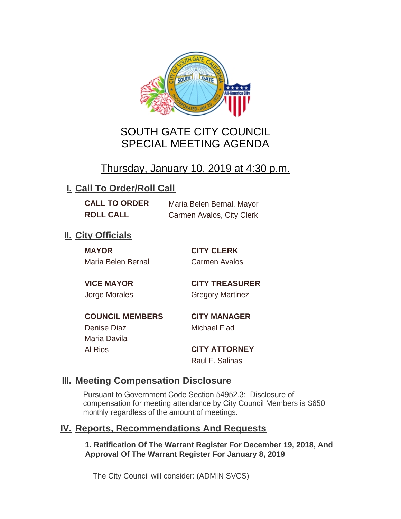

# SOUTH GATE CITY COUNCIL SPECIAL MEETING AGENDA

# Thursday, January 10, 2019 at 4:30 p.m.

## **I. Call To Order/Roll Call**

**CALL TO ORDER** Maria Belen Bernal, Mayor **ROLL CALL** Carmen Avalos, City Clerk

## **II.** City Officials

**MAYOR CITY CLERK** Maria Belen Bernal Carmen Avalos

**VICE MAYOR CITY TREASURER** Jorge Morales Gregory Martinez

**COUNCIL MEMBERS CITY MANAGER** Denise Diaz Michael Flad Maria Davila

Al Rios **CITY ATTORNEY**

Raul F. Salinas

### **Meeting Compensation Disclosure III.**

Pursuant to Government Code Section 54952.3: Disclosure of compensation for meeting attendance by City Council Members is \$650 monthly regardless of the amount of meetings.

#### **Reports, Recommendations And Requests IV.**

**1. Ratification Of The Warrant Register For December 19, 2018, And Approval Of The Warrant Register For January 8, 2019**

The City Council will consider: (ADMIN SVCS)